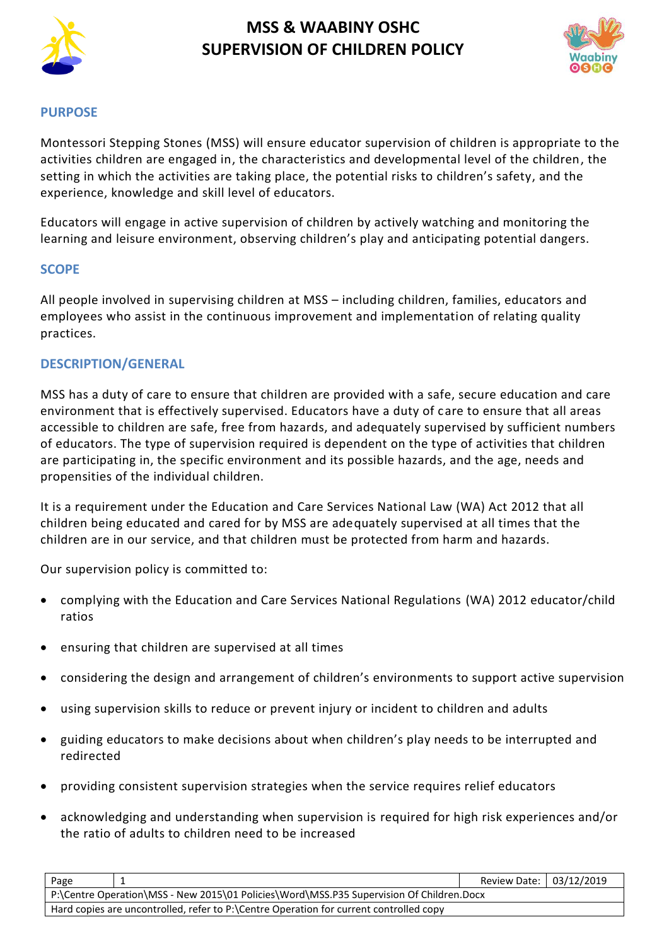



### **PURPOSE**

Montessori Stepping Stones (MSS) will ensure educator supervision of children is appropriate to the activities children are engaged in, the characteristics and developmental level of the children, the setting in which the activities are taking place, the potential risks to children's safety, and the experience, knowledge and skill level of educators.

Educators will engage in active supervision of children by actively watching and monitoring the learning and leisure environment, observing children's play and anticipating potential dangers.

### **SCOPE**

All people involved in supervising children at MSS – including children, families, educators and employees who assist in the continuous improvement and implementation of relating quality practices.

### **DESCRIPTION/GENERAL**

MSS has a duty of care to ensure that children are provided with a safe, secure education and care environment that is effectively supervised. Educators have a duty of care to ensure that all areas accessible to children are safe, free from hazards, and adequately supervised by sufficient numbers of educators. The type of supervision required is dependent on the type of activities that children are participating in, the specific environment and its possible hazards, and the age, needs and propensities of the individual children.

It is a requirement under the Education and Care Services National Law (WA) Act 2012 that all children being educated and cared for by MSS are adequately supervised at all times that the children are in our service, and that children must be protected from harm and hazards.

Our supervision policy is committed to:

- complying with the Education and Care Services National Regulations (WA) 2012 educator/child ratios
- ensuring that children are supervised at all times
- considering the design and arrangement of children's environments to support active supervision
- using supervision skills to reduce or prevent injury or incident to children and adults
- guiding educators to make decisions about when children's play needs to be interrupted and redirected
- providing consistent supervision strategies when the service requires relief educators
- acknowledging and understanding when supervision is required for high risk experiences and/or the ratio of adults to children need to be increased

| Page                                                                                     |  | Review Date: 03/12/2019 |  |  |
|------------------------------------------------------------------------------------------|--|-------------------------|--|--|
| P:\Centre Operation\MSS - New 2015\01 Policies\Word\MSS.P35 Supervision Of Children.Docx |  |                         |  |  |
| Hard copies are uncontrolled, refer to P:\Centre Operation for current controlled copy   |  |                         |  |  |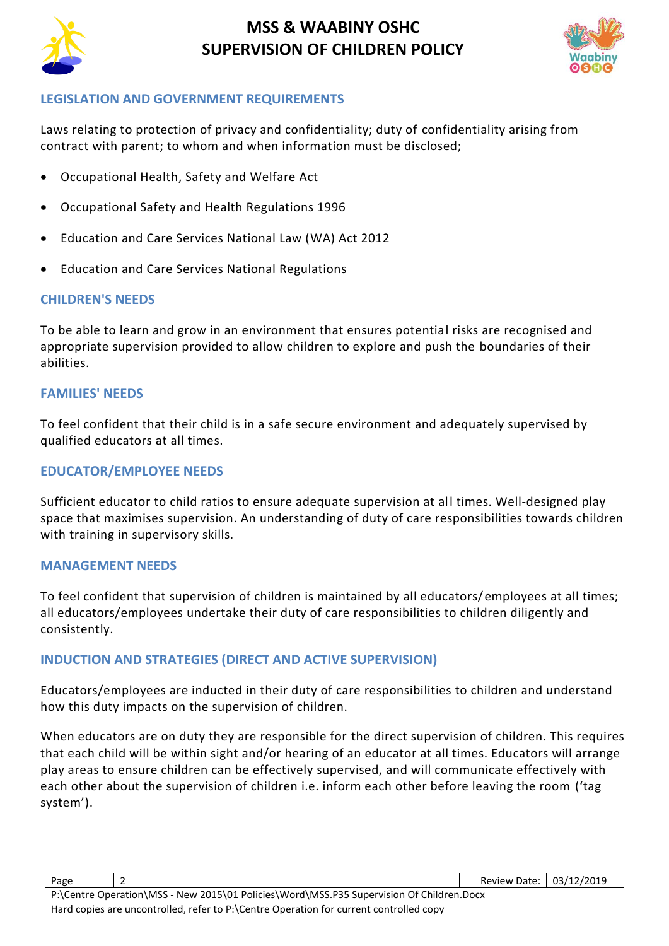



### **LEGISLATION AND GOVERNMENT REQUIREMENTS**

Laws relating to protection of privacy and confidentiality; duty of confidentiality arising from contract with parent; to whom and when information must be disclosed;

- [Occupational Health, Safety and Welfare Act](http://www.slp.wa.gov.au/legislation/agency.nsf/docep_main_mrtitle_4245_homepage.html)
- [Occupational Safety and Health Regulations 1996](http://www.slp.wa.gov.au/legislation/agency.nsf/docep_main_mrtitle_12516_homepage.html)
- Education and Care Services National Law (WA) Act 2012
- Education and Care Services National Regulations

### **CHILDREN'S NEEDS**

To be able to learn and grow in an environment that ensures potential risks are recognised and appropriate supervision provided to allow children to explore and push the boundaries of their abilities.

### **FAMILIES' NEEDS**

To feel confident that their child is in a safe secure environment and adequately supervised by qualified educators at all times.

#### **EDUCATOR/EMPLOYEE NEEDS**

Sufficient educator to child ratios to ensure adequate supervision at all times. Well-designed play space that maximises supervision. An understanding of duty of care responsibilities towards children with training in supervisory skills.

#### **MANAGEMENT NEEDS**

To feel confident that supervision of children is maintained by all educators/employees at all times; all educators/employees undertake their duty of care responsibilities to children diligently and consistently.

### **INDUCTION AND STRATEGIES (DIRECT AND ACTIVE SUPERVISION)**

Educators/employees are inducted in their duty of care responsibilities to children and understand how this duty impacts on the supervision of children.

When educators are on duty they are responsible for the direct supervision of children. This requires that each child will be within sight and/or hearing of an educator at all times. Educators will arrange play areas to ensure children can be effectively supervised, and will communicate effectively with each other about the supervision of children i.e. inform each other before leaving the room ('tag system').

| Page                                                                                     |  | Review Date: 03/12/2019 |  |  |
|------------------------------------------------------------------------------------------|--|-------------------------|--|--|
| P:\Centre Operation\MSS - New 2015\01 Policies\Word\MSS.P35 Supervision Of Children.Docx |  |                         |  |  |
| Hard copies are uncontrolled, refer to P:\Centre Operation for current controlled copy   |  |                         |  |  |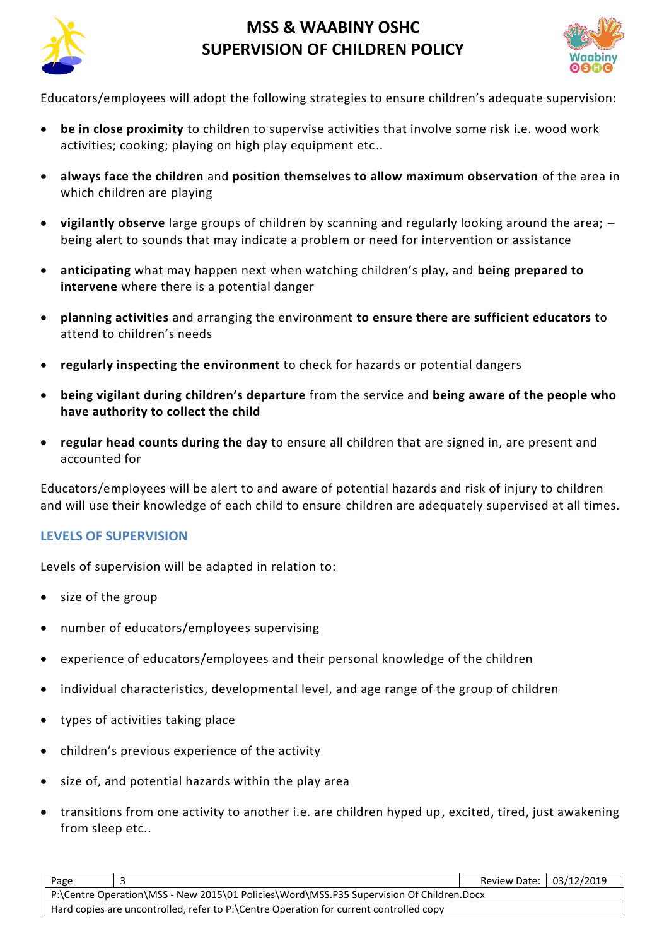



Educators/employees will adopt the following strategies to ensure children's adequate supervision:

- **be in close proximity** to children to supervise activities that involve some risk i.e. wood work activities; cooking; playing on high play equipment etc..
- **always face the children** and **position themselves to allow maximum observation** of the area in which children are playing
- **vigilantly observe** large groups of children by scanning and regularly looking around the area; being alert to sounds that may indicate a problem or need for intervention or assistance
- **anticipating** what may happen next when watching children's play, and **being prepared to intervene** where there is a potential danger
- **planning activities** and arranging the environment **to ensure there are sufficient educators** to attend to children's needs
- **regularly inspecting the environment** to check for hazards or potential dangers
- **being vigilant during children's departure** from the service and **being aware of the people who have authority to collect the child**
- **regular head counts during the day** to ensure all children that are signed in, are present and accounted for

Educators/employees will be alert to and aware of potential hazards and risk of injury to children and will use their knowledge of each child to ensure children are adequately supervised at all times.

### **LEVELS OF SUPERVISION**

Levels of supervision will be adapted in relation to:

- size of the group
- number of educators/employees supervising
- experience of educators/employees and their personal knowledge of the children
- individual characteristics, developmental level, and age range of the group of children
- types of activities taking place
- children's previous experience of the activity
- size of, and potential hazards within the play area
- transitions from one activity to another i.e. are children hyped up, excited, tired, just awakening from sleep etc..

| Page                                                                                     |  | Review Date: 03/12/2019 |  |  |
|------------------------------------------------------------------------------------------|--|-------------------------|--|--|
| P:\Centre Operation\MSS - New 2015\01 Policies\Word\MSS.P35 Supervision Of Children.Docx |  |                         |  |  |
| Hard copies are uncontrolled, refer to P:\Centre Operation for current controlled copy   |  |                         |  |  |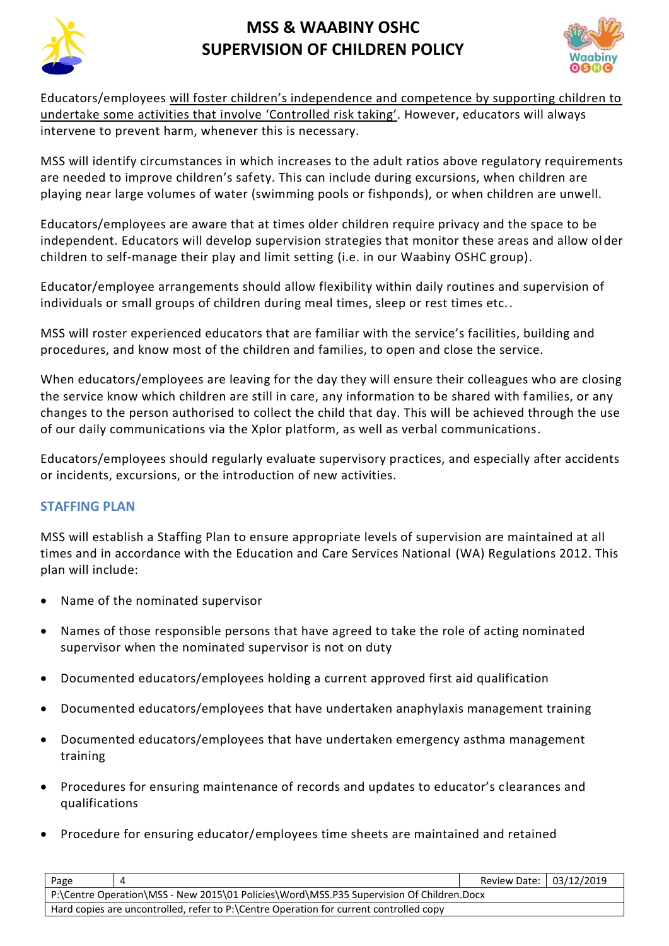



Educators/employees will foster children's independence and competence by supporting children to undertake some activities that involve 'Controlled risk taking'. However, educators will always intervene to prevent harm, whenever this is necessary.

MSS will identify circumstances in which increases to the adult ratios above regulatory requirements are needed to improve children's safety. This can include during excursions, when children are playing near large volumes of water (swimming pools or fishponds), or when children are unwell.

Educators/employees are aware that at times older children require privacy and the space to be independent. Educators will develop supervision strategies that monitor these areas and allow older children to self-manage their play and limit setting (i.e. in our Waabiny OSHC group).

Educator/employee arrangements should allow flexibility within daily routines and supervision of individuals or small groups of children during meal times, sleep or rest times etc..

MSS will roster experienced educators that are familiar with the service's facilities, building and procedures, and know most of the children and families, to open and close the service.

When educators/employees are leaving for the day they will ensure their colleagues who are closing the service know which children are still in care, any information to be shared with families, or any changes to the person authorised to collect the child that day. This will be achieved through the use of our daily communications via the Xplor platform, as well as verbal communications.

Educators/employees should regularly evaluate supervisory practices, and especially after accidents or incidents, excursions, or the introduction of new activities.

### **STAFFING PLAN**

MSS will establish a Staffing Plan to ensure appropriate levels of supervision are maintained at all times and in accordance with the Education and Care Services National (WA) Regulations 2012. This plan will include:

- Name of the nominated supervisor
- Names of those responsible persons that have agreed to take the role of acting nominated supervisor when the nominated supervisor is not on duty
- Documented educators/employees holding a current approved first aid qualification
- Documented educators/employees that have undertaken anaphylaxis management training
- Documented educators/employees that have undertaken emergency asthma management training
- Procedures for ensuring maintenance of records and updates to educator's clearances and qualifications
- Procedure for ensuring educator/employees time sheets are maintained and retained

| Page                                                                                     |  | Review Date: 03/12/2019 |  |  |
|------------------------------------------------------------------------------------------|--|-------------------------|--|--|
| P:\Centre Operation\MSS - New 2015\01 Policies\Word\MSS.P35 Supervision Of Children.Docx |  |                         |  |  |
| Hard copies are uncontrolled, refer to P:\Centre Operation for current controlled copy   |  |                         |  |  |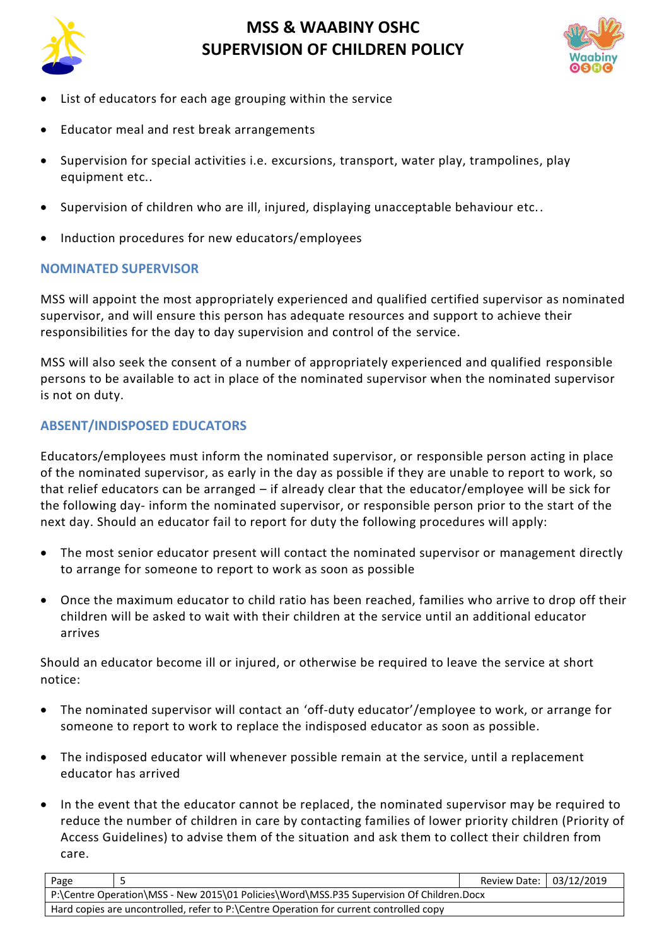



- List of educators for each age grouping within the service
- Educator meal and rest break arrangements
- Supervision for special activities i.e. excursions, transport, water play, trampolines, play equipment etc..
- Supervision of children who are ill, injured, displaying unacceptable behaviour etc..
- Induction procedures for new educators/employees

### **NOMINATED SUPERVISOR**

MSS will appoint the most appropriately experienced and qualified certified supervisor as nominated supervisor, and will ensure this person has adequate resources and support to achieve their responsibilities for the day to day supervision and control of the service.

MSS will also seek the consent of a number of appropriately experienced and qualified responsible persons to be available to act in place of the nominated supervisor when the nominated supervisor is not on duty.

### **ABSENT/INDISPOSED EDUCATORS**

Educators/employees must inform the nominated supervisor, or responsible person acting in place of the nominated supervisor, as early in the day as possible if they are unable to report to work, so that relief educators can be arranged – if already clear that the educator/employee will be sick for the following day- inform the nominated supervisor, or responsible person prior to the start of the next day. Should an educator fail to report for duty the following procedures will apply:

- The most senior educator present will contact the nominated supervisor or management directly to arrange for someone to report to work as soon as possible
- Once the maximum educator to child ratio has been reached, families who arrive to drop off their children will be asked to wait with their children at the service until an additional educator arrives

Should an educator become ill or injured, or otherwise be required to leave the service at short notice:

- The nominated supervisor will contact an 'off-duty educator'/employee to work, or arrange for someone to report to work to replace the indisposed educator as soon as possible.
- The indisposed educator will whenever possible remain at the service, until a replacement educator has arrived
- In the event that the educator cannot be replaced, the nominated supervisor may be required to reduce the number of children in care by contacting families of lower priority children (Priority of Access Guidelines) to advise them of the situation and ask them to collect their children from care.

| Page                                                                                     |  | Review Date: 03/12/2019 |  |  |
|------------------------------------------------------------------------------------------|--|-------------------------|--|--|
| P:\Centre Operation\MSS - New 2015\01 Policies\Word\MSS.P35 Supervision Of Children.Docx |  |                         |  |  |
| Hard copies are uncontrolled, refer to P:\Centre Operation for current controlled copy   |  |                         |  |  |